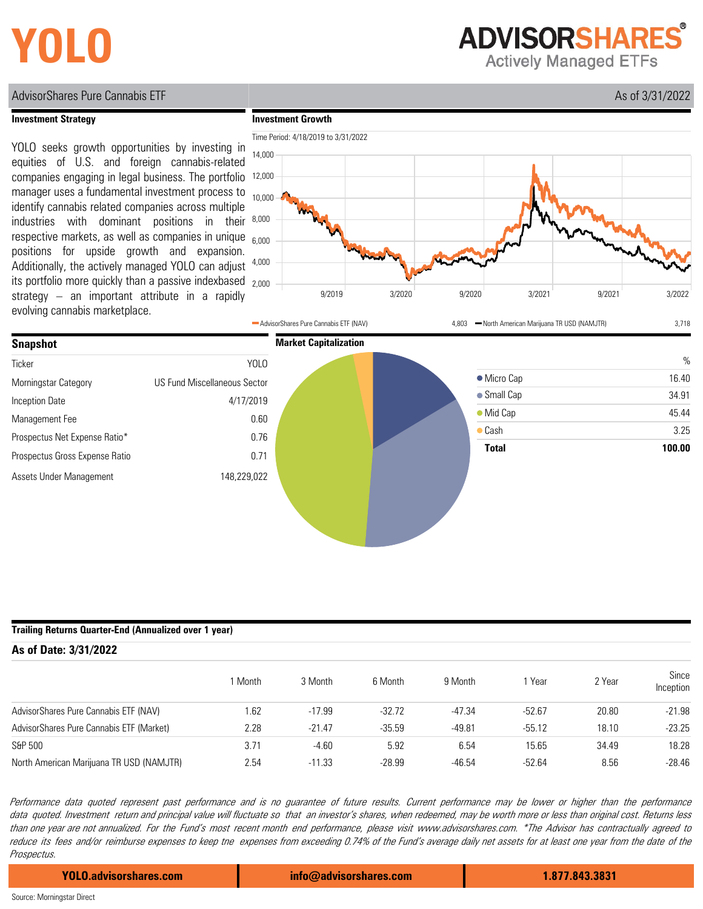# **YOLO**

**ADVISORSHARES Actively Managed ETFs** 

AdvisorShares Pure Cannabis ETF **As of 3/31/2022** 

### **Investment Strategy**

its portfolio more quickly than a passive indexbased 2,000 YOLO seeks growth opportunities by investing in equities of U.S. and foreign cannabis-related companies engaging in legal business. The portfolio manager uses a fundamental investment process to identify cannabis related companies across multiple industries with dominant positions in their respective markets, as well as companies in unique positions for upside growth and expansion. Additionally, the actively managed YOLO can adjust strategy – an important attribute in a rapidly evolving cannabis marketplace.





### **Trailing Returns Quarter-End (Annualized over 1 year)**

| As of Date: 3/31/2022                    |         |          |          |          |          |        |                    |  |  |  |  |  |
|------------------------------------------|---------|----------|----------|----------|----------|--------|--------------------|--|--|--|--|--|
|                                          | 1 Month | 3 Month  | 6 Month  | 9 Month  | Year     | 2 Year | Since<br>Inception |  |  |  |  |  |
| AdvisorShares Pure Cannabis ETF (NAV)    | 1.62    | $-17.99$ | $-32.72$ | $-47.34$ | $-52.67$ | 20.80  | $-21.98$           |  |  |  |  |  |
| AdvisorShares Pure Cannabis ETF (Market) | 2.28    | $-21.47$ | $-35.59$ | $-49.81$ | $-55.12$ | 18.10  | $-23.25$           |  |  |  |  |  |
| S&P 500                                  | 3.71    | $-4.60$  | 5.92     | 6.54     | 15.65    | 34.49  | 18.28              |  |  |  |  |  |
| North American Marijuana TR USD (NAMJTR) | 2.54    | $-11.33$ | $-28.99$ | $-46.54$ | $-52.64$ | 8.56   | $-28.46$           |  |  |  |  |  |

Performance data quoted represen<sup>t</sup> pas<sup>t</sup> performance and is no guarantee of future results. Curren<sup>t</sup> performance may be lower or higher than the performance data quoted. Investment return and principal value will fluctuate so that an investor's shares, when redeemed, may be worth more or less than original cost. Returns less <sup>t</sup>han one year are not annualized. For the Fund's mos<sup>t</sup> recent mon<sup>t</sup>h end performance, please visi<sup>t</sup> www.advisorshares.com. \*The Advisor has contractually agreed t<sup>o</sup> reduce its fees and/or reimburse expenses to keep tne expenses from exceeding 0.74% of the Fund's average daily net assets for at least one year from the date of the Prospectus.